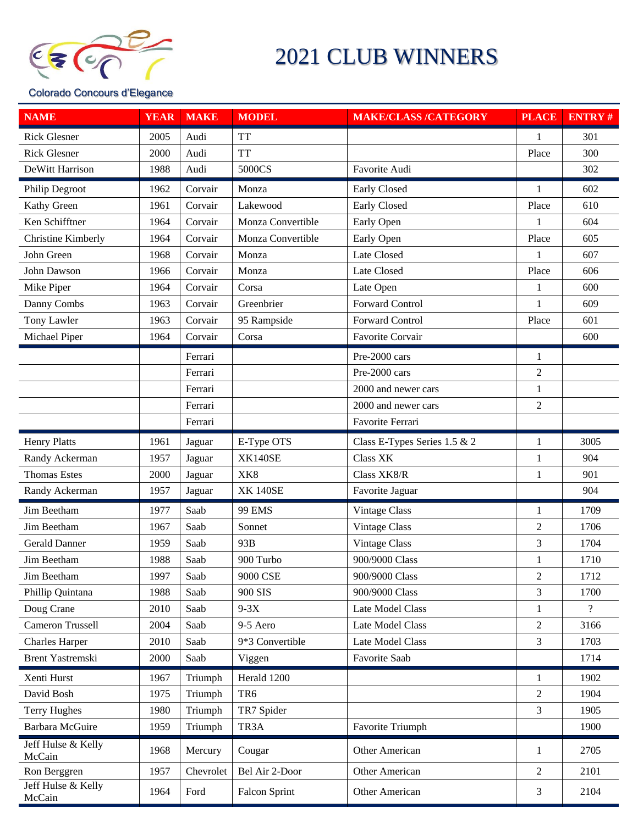

## 2021 CLUB WINNERS

## Colorado Concours d'Elegance

| <b>NAME</b>                  | <b>YEAR</b> | <b>MAKE</b> | <b>MODEL</b>         | <b>MAKE/CLASS /CATEGORY</b>  | <b>PLACE</b>   | <b>ENTRY#</b>  |
|------------------------------|-------------|-------------|----------------------|------------------------------|----------------|----------------|
| <b>Rick Glesner</b>          | 2005        | Audi        | <b>TT</b>            |                              | 1              | 301            |
| <b>Rick Glesner</b>          | 2000        | Audi        | <b>TT</b>            |                              | Place          | 300            |
| DeWitt Harrison              | 1988        | Audi        | 5000CS               | Favorite Audi                |                | 302            |
| <b>Philip Degroot</b>        | 1962        | Corvair     | Monza                | Early Closed                 | 1              | 602            |
| Kathy Green                  | 1961        | Corvair     | Lakewood             | Early Closed                 | Place          | 610            |
| Ken Schifftner               | 1964        | Corvair     | Monza Convertible    | Early Open                   | 1              | 604            |
| Christine Kimberly           | 1964        | Corvair     | Monza Convertible    | Early Open                   | Place          | 605            |
| John Green                   | 1968        | Corvair     | Monza                | Late Closed                  | $\mathbf{1}$   | 607            |
| John Dawson                  | 1966        | Corvair     | Monza                | Late Closed                  | Place          | 606            |
| Mike Piper                   | 1964        | Corvair     | Corsa                | Late Open                    | 1              | 600            |
| Danny Combs                  | 1963        | Corvair     | Greenbrier           | Forward Control              | 1              | 609            |
| Tony Lawler                  | 1963        | Corvair     | 95 Rampside          | <b>Forward Control</b>       | Place          | 601            |
| Michael Piper                | 1964        | Corvair     | Corsa                | Favorite Corvair             |                | 600            |
|                              |             | Ferrari     |                      | Pre-2000 cars                | $\mathbf{1}$   |                |
|                              |             | Ferrari     |                      | Pre-2000 cars                | $\overline{2}$ |                |
|                              |             | Ferrari     |                      | 2000 and newer cars          | $\mathbf{1}$   |                |
|                              |             | Ferrari     |                      | 2000 and newer cars          | $\mathfrak{2}$ |                |
|                              |             | Ferrari     |                      | Favorite Ferrari             |                |                |
| <b>Henry Platts</b>          | 1961        | Jaguar      | E-Type OTS           | Class E-Types Series 1.5 & 2 | 1              | 3005           |
| Randy Ackerman               | 1957        | Jaguar      | <b>XK140SE</b>       | Class XK                     | 1              | 904            |
| <b>Thomas Estes</b>          | 2000        | Jaguar      | XK <sub>8</sub>      | Class XK8/R                  | 1              | 901            |
| Randy Ackerman               | 1957        | Jaguar      | <b>XK 140SE</b>      | Favorite Jaguar              |                | 904            |
| Jim Beetham                  | 1977        | Saab        | <b>99 EMS</b>        | Vintage Class                | 1              | 1709           |
| Jim Beetham                  | 1967        | Saab        | Sonnet               | Vintage Class                | $\mathfrak{2}$ | 1706           |
| <b>Gerald Danner</b>         | 1959        | Saab        | 93B                  | Vintage Class                | 3              | 1704           |
| Jim Beetham                  | 1988        | Saab        | 900 Turbo            | 900/9000 Class               | 1              | 1710           |
| Jim Beetham                  | 1997        | Saab        | 9000 CSE             | 900/9000 Class               | 2              | 1712           |
| Phillip Quintana             | 1988        | Saab        | 900 SIS              | 900/9000 Class               | 3              | 1700           |
| Doug Crane                   | 2010        | Saab        | $9-3X$               | <b>Late Model Class</b>      | 1              | $\overline{?}$ |
| <b>Cameron Trussell</b>      | 2004        | Saab        | 9-5 Aero             | Late Model Class             | $\overline{2}$ | 3166           |
| <b>Charles Harper</b>        | 2010        | Saab        | 9*3 Convertible      | Late Model Class             | 3              | 1703           |
| Brent Yastremski             | 2000        | Saab        | Viggen               | Favorite Saab                |                | 1714           |
| Xenti Hurst                  | 1967        | Triumph     | Herald 1200          |                              | $\mathbf{1}$   | 1902           |
| David Bosh                   | 1975        | Triumph     | TR <sub>6</sub>      |                              | $\mathfrak{2}$ | 1904           |
| <b>Terry Hughes</b>          | 1980        | Triumph     | TR7 Spider           |                              | 3              | 1905           |
| Barbara McGuire              | 1959        | Triumph     | TR <sub>3</sub> A    | Favorite Triumph             |                | 1900           |
| Jeff Hulse & Kelly<br>McCain | 1968        | Mercury     | Cougar               | Other American               | 1              | 2705           |
| Ron Berggren                 | 1957        | Chevrolet   | Bel Air 2-Door       | Other American               | 2              | 2101           |
| Jeff Hulse & Kelly<br>McCain | 1964        | Ford        | <b>Falcon Sprint</b> | Other American               | 3              | 2104           |